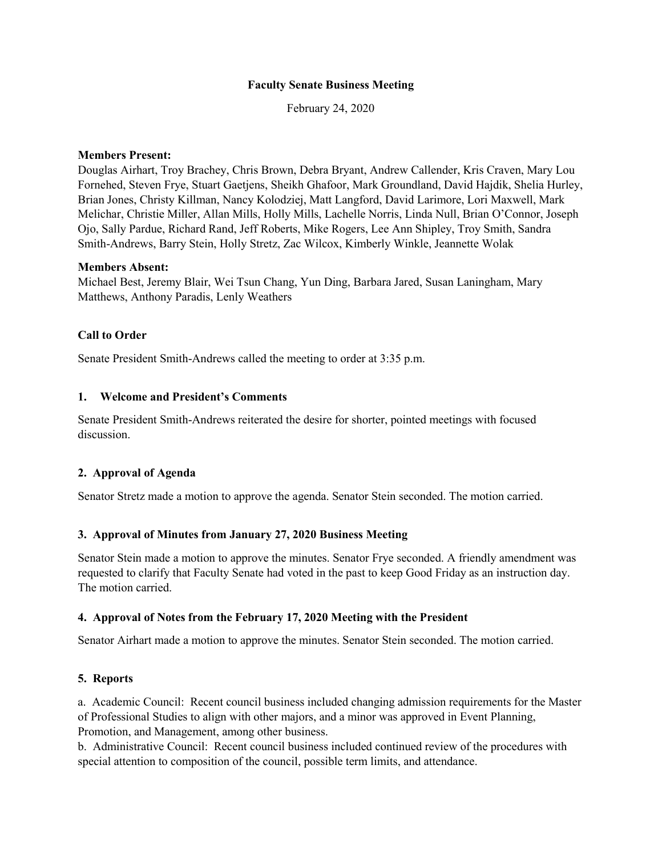## **Faculty Senate Business Meeting**

February 24, 2020

## **Members Present:**

Douglas Airhart, Troy Brachey, Chris Brown, Debra Bryant, Andrew Callender, Kris Craven, Mary Lou Fornehed, Steven Frye, Stuart Gaetjens, Sheikh Ghafoor, Mark Groundland, David Hajdik, Shelia Hurley, Brian Jones, Christy Killman, Nancy Kolodziej, Matt Langford, David Larimore, Lori Maxwell, Mark Melichar, Christie Miller, Allan Mills, Holly Mills, Lachelle Norris, Linda Null, Brian O'Connor, Joseph Ojo, Sally Pardue, Richard Rand, Jeff Roberts, Mike Rogers, Lee Ann Shipley, Troy Smith, Sandra Smith-Andrews, Barry Stein, Holly Stretz, Zac Wilcox, Kimberly Winkle, Jeannette Wolak

#### **Members Absent:**

Michael Best, Jeremy Blair, Wei Tsun Chang, Yun Ding, Barbara Jared, Susan Laningham, Mary Matthews, Anthony Paradis, Lenly Weathers

## **Call to Order**

Senate President Smith-Andrews called the meeting to order at 3:35 p.m.

#### **1. Welcome and President's Comments**

Senate President Smith-Andrews reiterated the desire for shorter, pointed meetings with focused discussion.

## **2. Approval of Agenda**

Senator Stretz made a motion to approve the agenda. Senator Stein seconded. The motion carried.

#### **3. Approval of Minutes from January 27, 2020 Business Meeting**

Senator Stein made a motion to approve the minutes. Senator Frye seconded. A friendly amendment was requested to clarify that Faculty Senate had voted in the past to keep Good Friday as an instruction day. The motion carried.

#### **4. Approval of Notes from the February 17, 2020 Meeting with the President**

Senator Airhart made a motion to approve the minutes. Senator Stein seconded. The motion carried.

#### **5. Reports**

a. Academic Council: Recent council business included changing admission requirements for the Master of Professional Studies to align with other majors, and a minor was approved in Event Planning, Promotion, and Management, among other business.

b. Administrative Council: Recent council business included continued review of the procedures with special attention to composition of the council, possible term limits, and attendance.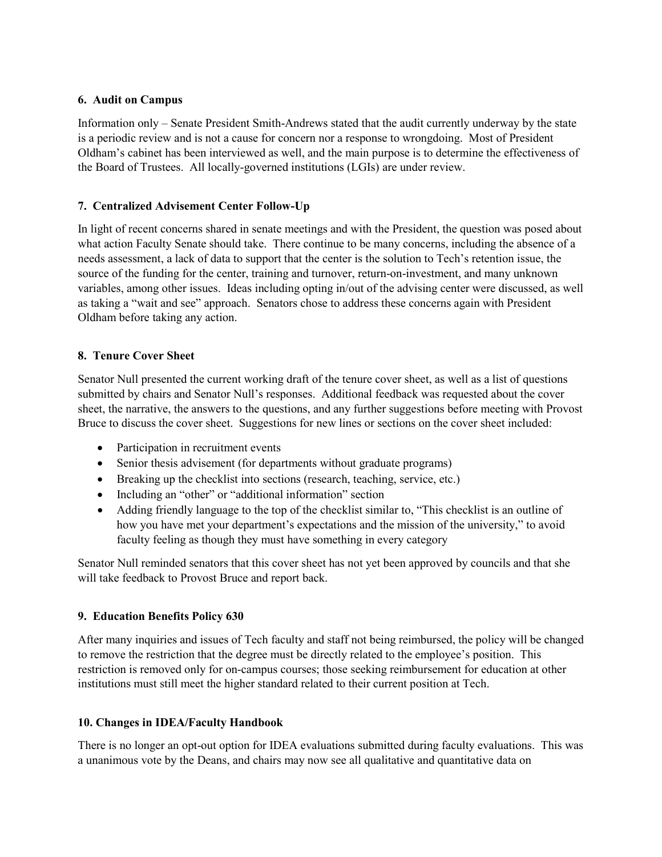## **6. Audit on Campus**

Information only – Senate President Smith-Andrews stated that the audit currently underway by the state is a periodic review and is not a cause for concern nor a response to wrongdoing. Most of President Oldham's cabinet has been interviewed as well, and the main purpose is to determine the effectiveness of the Board of Trustees. All locally-governed institutions (LGIs) are under review.

# **7. Centralized Advisement Center Follow-Up**

In light of recent concerns shared in senate meetings and with the President, the question was posed about what action Faculty Senate should take. There continue to be many concerns, including the absence of a needs assessment, a lack of data to support that the center is the solution to Tech's retention issue, the source of the funding for the center, training and turnover, return-on-investment, and many unknown variables, among other issues. Ideas including opting in/out of the advising center were discussed, as well as taking a "wait and see" approach. Senators chose to address these concerns again with President Oldham before taking any action.

## **8. Tenure Cover Sheet**

Senator Null presented the current working draft of the tenure cover sheet, as well as a list of questions submitted by chairs and Senator Null's responses. Additional feedback was requested about the cover sheet, the narrative, the answers to the questions, and any further suggestions before meeting with Provost Bruce to discuss the cover sheet. Suggestions for new lines or sections on the cover sheet included:

- Participation in recruitment events
- Senior thesis advisement (for departments without graduate programs)
- Breaking up the checklist into sections (research, teaching, service, etc.)
- Including an "other" or "additional information" section
- Adding friendly language to the top of the checklist similar to, "This checklist is an outline of how you have met your department's expectations and the mission of the university," to avoid faculty feeling as though they must have something in every category

Senator Null reminded senators that this cover sheet has not yet been approved by councils and that she will take feedback to Provost Bruce and report back.

## **9. Education Benefits Policy 630**

After many inquiries and issues of Tech faculty and staff not being reimbursed, the policy will be changed to remove the restriction that the degree must be directly related to the employee's position. This restriction is removed only for on-campus courses; those seeking reimbursement for education at other institutions must still meet the higher standard related to their current position at Tech.

## **10. Changes in IDEA/Faculty Handbook**

There is no longer an opt-out option for IDEA evaluations submitted during faculty evaluations. This was a unanimous vote by the Deans, and chairs may now see all qualitative and quantitative data on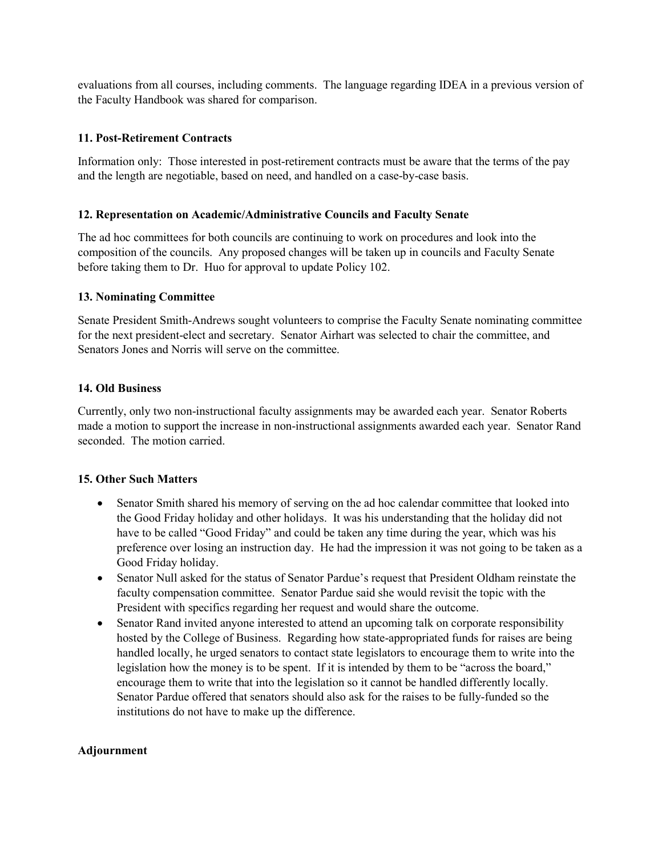evaluations from all courses, including comments. The language regarding IDEA in a previous version of the Faculty Handbook was shared for comparison.

## **11. Post-Retirement Contracts**

Information only: Those interested in post-retirement contracts must be aware that the terms of the pay and the length are negotiable, based on need, and handled on a case-by-case basis.

## **12. Representation on Academic/Administrative Councils and Faculty Senate**

The ad hoc committees for both councils are continuing to work on procedures and look into the composition of the councils. Any proposed changes will be taken up in councils and Faculty Senate before taking them to Dr. Huo for approval to update Policy 102.

## **13. Nominating Committee**

Senate President Smith-Andrews sought volunteers to comprise the Faculty Senate nominating committee for the next president-elect and secretary. Senator Airhart was selected to chair the committee, and Senators Jones and Norris will serve on the committee.

## **14. Old Business**

Currently, only two non-instructional faculty assignments may be awarded each year. Senator Roberts made a motion to support the increase in non-instructional assignments awarded each year. Senator Rand seconded. The motion carried.

# **15. Other Such Matters**

- Senator Smith shared his memory of serving on the ad hoc calendar committee that looked into the Good Friday holiday and other holidays. It was his understanding that the holiday did not have to be called "Good Friday" and could be taken any time during the year, which was his preference over losing an instruction day. He had the impression it was not going to be taken as a Good Friday holiday.
- Senator Null asked for the status of Senator Pardue's request that President Oldham reinstate the faculty compensation committee. Senator Pardue said she would revisit the topic with the President with specifics regarding her request and would share the outcome.
- Senator Rand invited anyone interested to attend an upcoming talk on corporate responsibility hosted by the College of Business. Regarding how state-appropriated funds for raises are being handled locally, he urged senators to contact state legislators to encourage them to write into the legislation how the money is to be spent. If it is intended by them to be "across the board," encourage them to write that into the legislation so it cannot be handled differently locally. Senator Pardue offered that senators should also ask for the raises to be fully-funded so the institutions do not have to make up the difference.

## **Adjournment**